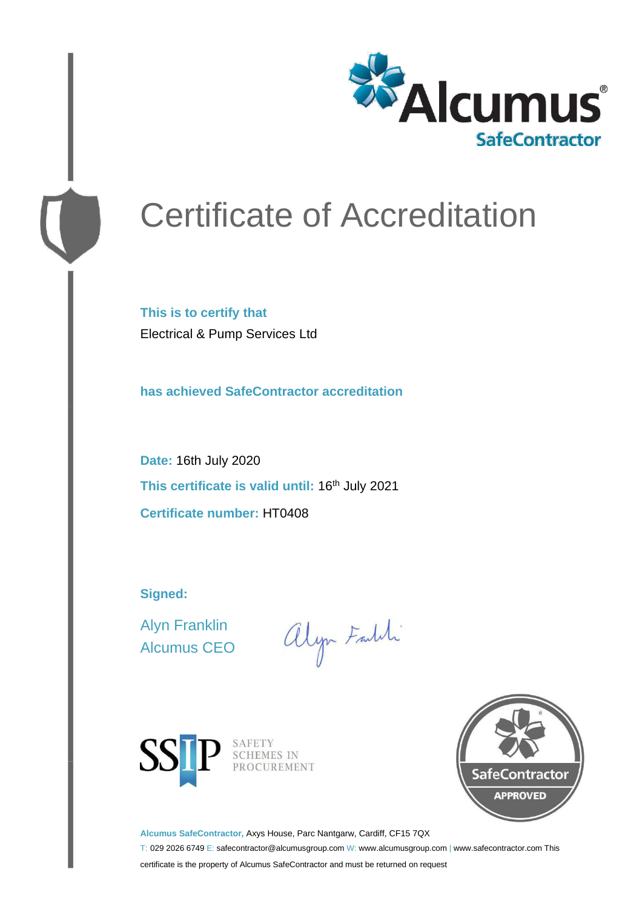

# Certificate of Accreditation

**This is to certify that** Electrical & Pump Services Ltd

**has achieved SafeContractor accreditation**

**Date:** 16th July 2020 This certificate is valid until: 16<sup>th</sup> July 2021 **Certificate number:** HT0408

**Signed:**

Alyn Franklin Alcumus CEO

alyn Faldi





**Alcumus SafeContractor,** Axys House, Parc Nantgarw, Cardiff, CF15 7QX

T: 029 2026 6749 E: safecontractor@alcumusgroup.com W: www.alcumusgroup.com | www.safecontractor.com This certificate is the property of Alcumus SafeContractor and must be returned on request